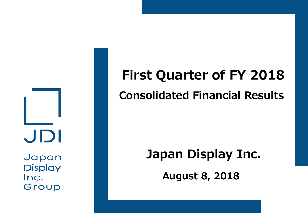JDI Japan

**Display** Inc. Group

# **First Quarter of FY 2018 Consolidated Financial Results**

### **Japan Display Inc.**

**August 8, 2018**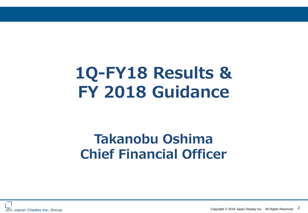# **1Q-FY18 Results & FY 2018 Guidance**

### **Takanobu Oshima Chief Financial Officer**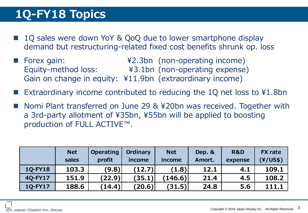### **1Q-FY18 Topics**

- 1Q sales were down YoY & QoQ due to lower smartphone display demand but restructuring-related fixed cost benefits shrunk op. loss
- Forex gain: ¥2.3bn (non-operating income) Equity-method loss: ¥3.1bn (non-operating expense) Gain on change in equity: ¥11.9bn (extraordinary income)
- Extraordinary income contributed to reducing the 1Q net loss to ¥1.8bn
- Nomi Plant transferred on June 29 & ¥20bn was received. Together with a 3rd-party allotment of ¥35bn, ¥55bn will be applied to boosting production of FULL ACTIVE™.

|                | <b>Net</b> | <b>Operating</b> | Ordinary | <b>Net</b> | Dep. & | <b>R&amp;D</b> | <b>FX</b> rate |
|----------------|------------|------------------|----------|------------|--------|----------------|----------------|
|                | sales      | profit           | income   | income     | Amort. | expense        | (Y/US\$)       |
| <b>10-FY18</b> | 103.3      | (9.8)            | (12.7)   | (1.8)      | 12.1   | 4.1            | 109.1          |
| 40-FY17        | 151.9      | (22.9)           | (35.1)   | (146.6)    | 21.4   | 4.5            | 108.2          |
| 1Q-FY17        | 188.6      | (14.4)           | (20.6)   | (31.5)     | 24.8   | 5.6            | 111.1          |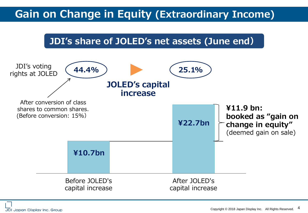#### **Gain on Change in Equity (Extraordinary Income)**





JDI Japan Display Inc. Group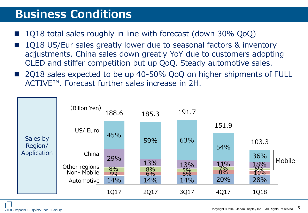#### **Business Conditions**

- 1Q18 total sales roughly in line with forecast (down 30% QoQ)
- 1Q18 US/Eur sales greatly lower due to seasonal factors & inventory adjustments. China sales down greatly YoY due to customers adopting OLED and stiffer competition but up QoQ. Steady automotive sales.
- 2Q18 sales expected to be up 40-50% QoQ on higher shipments of FULL ACTIVE™. Forecast further sales increase in 2H.

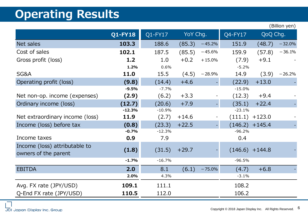#### **Operating Results**

|                                                       |                |            |          |          |                   |          | , נוסע ווטוווש ( |
|-------------------------------------------------------|----------------|------------|----------|----------|-------------------|----------|------------------|
|                                                       | <b>Q1-FY18</b> | $Q1$ -FY17 | YoY Chg. |          | Q4-FY17           | QoQ Chg. |                  |
| Net sales                                             | 103.3          | 188.6      | (85.3)   | $-45.2%$ | 151.9             | (48.7)   | $-32.0%$         |
| Cost of sales                                         | 102.1          | 187.5      | (85.5)   | $-45.6%$ | 159.9             | (57.8)   | $-36.1%$         |
| Gross profit (loss)                                   | 1.2            | 1.0        | $+0.2$   | $+15.0%$ | (7.9)             | $+9.1$   |                  |
|                                                       | 1.2%           | 0.6%       |          |          | $-5.2%$           |          |                  |
| SG&A                                                  | 11.0           | 15.5       | (4.5)    | $-28.9%$ | 14.9              | (3.9)    | $-26.2%$         |
| Operating profit (loss)                               | (9.8)          | (14.4)     | $+4.6$   |          | (22.9)            | $+13.0$  |                  |
|                                                       | $-9.5%$        | $-7.7%$    |          |          | $-15.0%$          |          |                  |
| Net non-op. income (expenses)                         | (2.9)          | (6.2)      | $+3.3$   |          | (12.3)            | $+9.4$   |                  |
| Ordinary income (loss)                                | (12.7)         | (20.6)     | $+7.9$   |          | (35.1)            | $+22.4$  |                  |
|                                                       | $-12.3%$       | $-10.9%$   |          |          | $-23.1%$          |          |                  |
| Net extraordinary income (loss)                       | 11.9           | (2.7)      | $+14.6$  |          | (111.1)           | $+123.0$ |                  |
| Income (loss) before tax                              | (0.8)          | (23.3)     | $+22.5$  |          | (146.2)           | $+145.4$ |                  |
|                                                       | $-0.7%$        | $-12.3%$   |          |          | $-96.2%$          |          |                  |
| Income taxes                                          | 0.9            | 7.9        |          |          | 0.4               |          |                  |
| Income (loss) attributable to<br>owners of the parent | (1.8)          | (31.5)     | $+29.7$  |          | $(146.6) + 144.8$ |          |                  |
|                                                       | $-1.7%$        | $-16.7%$   |          |          | $-96.5%$          |          |                  |
| <b>EBITDA</b>                                         | 2.0            | 8.1        | (6.1)    | $-75.0%$ | (4.7)             | $+6.8$   |                  |
|                                                       | 2.0%           | 4.3%       |          |          | $-3.1%$           |          |                  |
| Avg. FX rate (JPY/USD)                                | 109.1          | 111.1      |          |          | 108.2             |          |                  |
| Q-End FX rate (JPY/USD)                               | 110.5          | 112.0      |          |          | 106.2             |          |                  |

(Billion yen)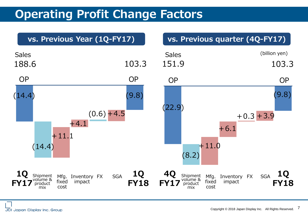### **Operating Profit Change Factors**

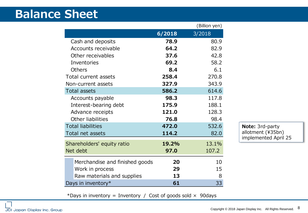#### **Balance Sheet**

|                                |        | (Billion yen) |
|--------------------------------|--------|---------------|
|                                | 6/2018 | 3/2018        |
| Cash and deposits              | 78.9   | 80.9          |
| Accounts receivable            | 64.2   | 82.9          |
| Other receivables              | 37.6   | 42.8          |
| Inventories                    | 69.2   | 58.2          |
| <b>Others</b>                  | 8.4    | 6.1           |
| Total current assets           | 258.4  | 270.8         |
| Non-current assets             | 327.9  | 343.9         |
| <b>Total assets</b>            | 586.2  | 614.6         |
| Accounts payable               | 98.3   | 117.8         |
| Interest-bearing debt          | 175.9  | 188.1         |
| Advance receipts               | 121.0  | 128.3         |
| Other liabilities              | 76.8   | 98.4          |
| <b>Total liabilities</b>       | 472.0  | 532.6         |
| Total net assets               | 114.2  | 82.0          |
| Shareholders' equity ratio     | 19.2%  | 13.1%         |
| Net debt                       | 97.0   | 107.2         |
| Merchandise and finished goods | 20     | 10            |
| Work in process                | 29     | 15            |
| Raw materials and supplies     | 13     | 8             |
| Days in inventory*             | 61     | 33            |

**Note:** 3rd-party allotment (¥35bn) implemented April 25

\*Days in inventory = Inventory / Cost of goods sold  $\times$  90days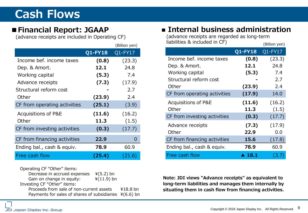#### **Cash Flows**

#### **■Financial Report: JGAAP**

(advance receipts are included in Operating CF)

|                              |            | (Billion yen) |
|------------------------------|------------|---------------|
|                              | $Q1$ -FY18 | Q1-FY17       |
| Income bef, income taxes     | (0.8)      | (23.3)        |
| Dep. & Amort.                | 12.1       | 24.8          |
| Working capital              | (5.3)      | 7.4           |
| Advance receipts             | (7.3)      | (17.9)        |
| Structural reform cost       |            | 2.7           |
| Other                        | (23.9)     | 2.4           |
| CF from operating activities | (25.1)     | (3.9)         |
| Acquisitions of P&E          | (11.6)     | (16.2)        |
| Other                        | 11.3       | (1.5)         |
| CF from investing activities | (0.3)      | (17.7)        |
| CF from financing activities | 22.9       | $\mathbf{O}$  |
| Ending bal., cash & equiv.   | 78.9       | 60.9          |
| Free cash flow               | (25.4)     | (21.6)        |

Operating CF "Other" items: Decrease in accrued expenses  $*(5.2)$  bn<br>Gain on change in equity:  $*(11.9)$  bn Gain on change in equity: Investing CF "Other" items: Proceeds from sale of non-current assets ¥18.8 bn Payments for sales of shares of subsidiaries  $4(6.6)$  bn

#### **■ Internal business administration**

| 」CF)          | (advance receipts are regarded as long-term |                       |               |  |
|---------------|---------------------------------------------|-----------------------|---------------|--|
| (Billion yen) | liabilities & included in CF)               |                       | (Billion yen) |  |
| $Q1$ -FY17    |                                             | <b>Q1-FY18</b>        | $Q1$ -FY17    |  |
| (23.3)        | Income bef. income taxes                    | (0.8)                 | (23.3)        |  |
| 24.8          | Dep. & Amort.                               | 12.1                  | 24.8          |  |
| 7.4           | Working capital                             | (5.3)                 | 7.4           |  |
| (17.9)        | Structural reform cost                      |                       | 2.7           |  |
| 2.7           | Other                                       | (23.9)                | 2.4           |  |
| 2.4           | CF from operating activities                | (17.9)                | 14.0          |  |
| (3.9)         | Acquisitions of P&E                         | (11.6)                | (16.2)        |  |
|               | Other                                       | 11.3                  | (1.5)         |  |
| (16.2)        | CF from investing activities                | (0.3)                 | (17.7)        |  |
| (1.5)         | Advance receipts                            | (7.3)                 | (17.9)        |  |
| (17.7)        | Other                                       | 22.9                  | 0.0           |  |
| 0             | CF from financing activities                | 15.6                  | (17.8)        |  |
| 60.9          | Ending bal., cash & equiv.                  | 78.9                  | 60.9          |  |
| (21.6)        | Free cash flow                              | $\blacktriangle$ 18.1 | (3.7)         |  |

**Note: JDI views "Advance receipts" as equivalent to long-term liabilities and manages them internally by situating them in cash flow from financing activities.**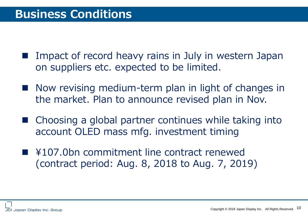- Impact of record heavy rains in July in western Japan on suppliers etc. expected to be limited.
- Now revising medium-term plan in light of changes in the market. Plan to announce revised plan in Nov.
- Choosing a global partner continues while taking into account OLED mass mfg. investment timing
- ¥107.0bn commitment line contract renewed (contract period: Aug. 8, 2018 to Aug. 7, 2019)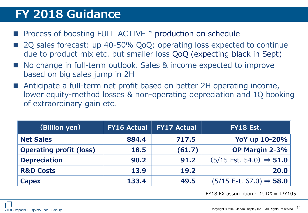#### **FY 2018 Guidance**

- Process of boosting FULL ACTIVE™ production on schedule
- 2Q sales forecast: up 40-50% QoQ; operating loss expected to continue due to product mix etc. but smaller loss QoQ (expecting black in Sept)
- No change in full-term outlook. Sales & income expected to improve based on big sales jump in 2H
- Anticipate a full-term net profit based on better 2H operating income, lower equity-method losses & non-operating depreciation and 1Q booking of extraordinary gain etc.

| (Billion yen)                  | <b>FY16 Actual</b> | <b>FY17 Actual</b> | <b>FY18 Est.</b>                             |
|--------------------------------|--------------------|--------------------|----------------------------------------------|
| <b>Net Sales</b>               | 884.4              | 717.5              | YoY up 10-20%                                |
| <b>Operating profit (loss)</b> | 18.5               | (61.7)             | OP Margin 2-3%                               |
| <b>Depreciation</b>            | 90.2               | 91.2               | $(5/15$ Est. 54.0) $\Rightarrow$ 51.0        |
| <b>R&amp;D Costs</b>           | 13.9               | 19.2               | 20.0                                         |
| <b>Capex</b>                   | 133.4              | 49.5               | $(5/15 \text{ Est. } 67.0) \Rightarrow$ 58.0 |

FY18 FX assumption:  $1UD$ = JPY105$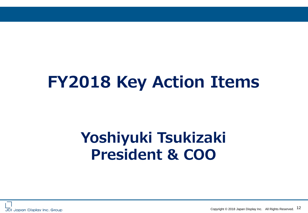## **FY2018 Key Action Items**

## **Yoshiyuki Tsukizaki President & COO**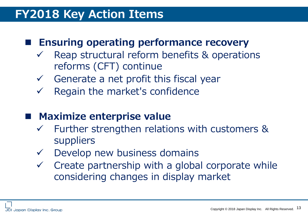#### **FY2018 Key Action Items**

#### **Ensuring operating performance recovery**

- Reap structural reform benefits & operations reforms (CFT) continue
- $\checkmark$  Generate a net profit this fiscal year
- $\checkmark$  Regain the market's confidence

#### **Maximize enterprise value**

- $\checkmark$  Further strengthen relations with customers & suppliers
- $\checkmark$  Develop new business domains
- $\checkmark$  Create partnership with a global corporate while considering changes in display market